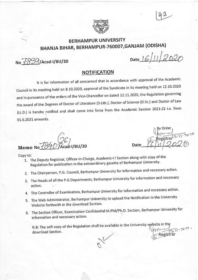



# BERHAMPUR UNIVERSITY BHANJA BIHAR, BERHAMPUR-760007, GANJAM (ODISHA)

No  $F89/$ /Acad-I/BU/20

Date  $|6|1|$  2020

(].

Date

# NOTIFICATION

It is for information of all concerned that in accordance with approval of the Academic Council in its meeting held on 8.10.2020, approval of the Syndicate in its meeting held on 12.10.2020 and in pursuance of the orders of the Vice-Chancellor on dated 12.11.2020, the Regulation governing the award of the Degrees of Doctor of Literature (D.Litt.), Doctor of Science (D.Sc.) and Doctor of Law (LL.D.) is hereby notified and shall come into force from the Academic Session 2021-22 i.e. from 01.6.2021 onwards.

 $(\hat{\mathcal{Z}}\mathcal{L})$ Memo No 1840 Acad-1/BU/20

- Copy to: i. The Deputy Registrar, Officer-in-Charge, Academic-I I Section along with copy of the '1. The Deputy Registrar, Officer-in-Charge, Academic-I I Section along with copy of the Regulation for publication in the ex
	- 2. The Chairperson, P.G. Council, Berhampur University for information and necessary action.
	- 3. The Heads of all the P.G.Departments, Berhampur University for information and necessary action.
	- 4. The Controller of Examination, Berhampur University for information and necessary action.
	- 5. The Web Administrator, Berhampur University to upload the Notification in the University Website forthwith in the download Section.
	- 6. The Section Officer, Examination Confidential M.Phil/Ph.D. Section, Berhampur University for information and necessary action.

N.B: The soft copy of the Regulation shall be available in the University website in the  $2.11.2020$ download Section. Registrar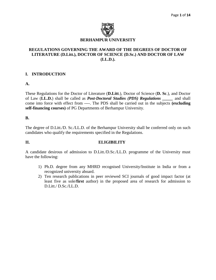

## **REGULATIONS GOVERNING THE AWARD OF THE DEGREES OF DOCTOR OF LITERATURE (D.Litt.), DOCTOR OF SCIENCE (D.Sc.) AND DOCTOR OF LAW (LL.D.).**

# **I. INTRODUCTION**

#### **A.**

These Regulations for the Doctor of Literature (**D.Litt**.), Doctor of Science (**D. Sc**.), and Doctor of Law (**LL.D.**) shall be called as *Post-Doctoral Studies (PDS) Regulations \_\_\_\_\_* and shall come into force with effect from ----. The PDS shall be carried out in the subjects **(excluding self-financing courses)** of PG Departments of Berhampur University.

#### **B.**

The degree of D.Litt./D. Sc./LL.D. of the Berhampur University shall be conferred only on such candidates who qualify the requirements specified in the Regulations.

#### **II. ELIGIBILITY**

A candidate desirous of admission to D.Litt./D.Sc./LL.D. programme of the University must have the following:

- 1) Ph.D. degree from any MHRD recognised University/Institute in India or from a recognized university aboard.
- 2) Ten research publications in peer reviewed SCI journals of good impact factor (at least five as sole/**first** author) in the proposed area of research for admission to D.Litt./ D.Sc./LL.D.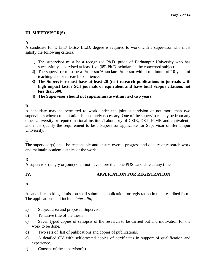# **III. SUPERVISOR(S)**

# **A.**

A candidate for D.Litt./ D.Sc./ LL.D. degree is required to work with a supervisor who must satisfy the following criteria:

- 1) The supervisor must be a recognized Ph.D. guide of Berhampur University who has successfully supervised at least five (05) Ph.D. scholars in the concerned subject.
- **2)** The supervisor must be a Professor/Associate Professor with a minimum of 10 years of teaching and or research experience.
- **3) The Supervisor must have at least 20 (ten) research publications in journals with high impact factor SCI journals or equivalent and have total Scopus citations not less than 500.**
- **4) The Supervisor should not superannuate within next two years.**

# **B.**

A candidate may be permitted to work under the joint supervision of not more than two supervisors where collaboration is absolutely necessary. One of the supervisors may be from any other University or reputed national institute/Laboratory of CSIR, DST, ICMR and equivalent., and must qualify the requirement to be a Supervisor applicable for Supervisor of Berhampur University.

# **C.**

The supervisor(s) shall be responsible and ensure overall progress and quality of research work and maintain academic ethics of the work.

# **D.**

A supervisor (singly or joint) shall not have more than one PDS candidate at any time.

# **IV. APPLICATION FOR REGISTRATION**

# **A.**

A candidate seeking admission shall submit an application for registration in the prescribed form. The application shall include *inter alia*,

- a) Subject area and proposed Supervisor
- b) Tentative title of the thesis
- c) Seven typed copies of synopsis of the research to be carried out and motivation for the work to be done.
- d) Two sets of list of publications and copies of publications.
- e) A detailed CV with self-attested copies of certificates in support of qualification and experience.
- f) Consent of the supervisor(s)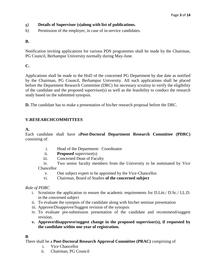# g) **Details of Supervisor (s)along with list of publications.**

h) Permission of the employer, in case of in-service candidates.

# **B.**

Notification inviting applications for various PDS programmes shall be made by the Chairman, PG Council, Berhampur University normally during May-June.

# **C.**

Applications shall be made to the HoD of the concerned PG Department by due date as notified by the Chairman, PG Council, Berhampur University. All such applications shall be placed before the Department Research Committee (DRC) for necessary scrutiny to verify the eligibility of the candidate and the proposed supervisor(s) as well as the feasibility to conduct the research study based on the submitted synopsis.

**D.** The candidate has to make a presentation of his/her research proposal before the DRC.

# **V.RESEARCHCOMMITTEES**

# **A.**

Each candidate shall have a**Post-Doctoral Department Research Committee (PDRC)** consisting of:

- i. Head of the Department- Coordinator
- ii. **Proposed** supervisor(s)
- iii. Concerned Dean of Faculty

iv. Two senior faculty members from the University to be nominated by Vice Chancellor

- v. One subject expert to be appointed by the Vice-Chancellor.
- vi. Chairman, Board of Studies **of the concerned subject**

# *Role of PDRC*

- i. Scrutinize the application to ensure the academic requirements for D.Litt./ D.Sc./ LL.D. in the concerned subject
- ii. To evaluate the synopsis of the candidate along with his/her seminar presentation
- iii. Approve/Disapprove/Suggest revision of the synopsis
- iv. To evaluate pre-submission presentation of the candidate and recommend/suggest revision.
- **v. Approve/disapprove/suggest change in the proposed supervisor(s), if requested by the candidate within one year of registration.**

# **B**

There shall be a **Post-Doctoral Research Approval Committee (PRAC)** comprising of

- i. Vice Chancellor
- ii. Chairman, PG Council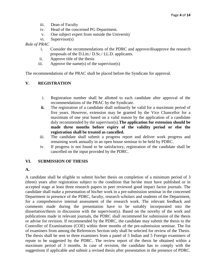- iii. Dean of Faculty
- iv. Head of the concerned PG Department.
- v. One subject expert from outside the University
- vi. Supervisor(s)

#### *Role of PRAC*

- i. Consider the recommendations of the PDRC and approve/disapprove the research proposals of the D.Litt./ D.Sc./ LL.D. applicants.
- ii. Approve title of the thesis
- iii. Approve the name(s) of the supervisor(s)

The recommendations of the PRAC shall be placed before the Syndicate for approval.

#### **V. REGISTRATION**

- i. Registration number shall be allotted to each candidate after approval of the recommendations of the PRAC by the Syndicate.
- **ii.** The registration of a candidate shall ordinarily be valid for a maximum period of five years. However, extension may be granted by the Vice Chancellor for a maximum of one year based on a valid reason by the application of a candidate duly recommended by the supervisor(s).**The application for extension should be made three months before expiry of the validity period or else the registration shall be treated as cancelled.**
- iii. The candidate shall submit a progress report and deliver work progress and remaining work annually in an open house seminar to be held by PDRC.
- iv. If progress is not found to be satisfactory, registration of the candidate shall be cancelled on the input provided by the PDRC.

#### **VI. SUBMISSION OF THESIS**

#### **A.**

A candidate shall be eligible to submit his/her thesis on completion of a minimum period of 3 (three) years after registration subject to the condition that he/she must have published or in accepted stage at least three research papers in peer reviewed good impact factor journals. The candidate shall make a presentation of his/her work in a pre-submission seminar in the concerned Department in presence of the PDRC, faculty, research scholars and students of the Department, for a comprehensive internal assessment of the research work. The relevant feedback and comments made during the presentation have to be suitably incorporated into the dissertation/thesis in discussion with the supervisor(s). Based on the novelty of the work and publications made in relevant journals, the PDRC shall recommend for submission of the thesis or advise for revision. If recommended by the PDRC, the candidate may submit the thesis to the Controller of Examinations (COE) within three months of the pre-submission seminar. The list of examiners from among the References Section only shall be selected for review of the Thesis. The thesis shall be sent to three examiners from a panel of 5 Indian and 5 Foreign examiners of repute to be suggested by the PDRC. The review report of the thesis be obtained within a maximum period of 3 months. In case of revision, the candidate has to comply with the suggestions if applicable and submit a revised thesis after presentation in the presence of PDRC.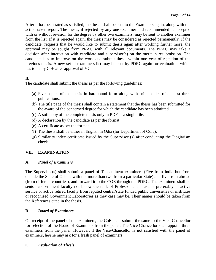After it has been rated as satisfied, the thesis shall be sent to the Examiners again, along with the action taken report. The thesis, if rejected by any one examiner and recommended as accepted with or without revision for the degree by other two examiners, may be sent to another examiner from the list. If it is rejected again, the thesis may be considered as rejected permanently. If the candidate, requests that he would like to submit thesis again after working further more, the approval may be sought from PRAC with all relevant documents. The PRAC may take a decision after interaction with candidate and supervisor(s) on the merit in resubmission. The candidate has to improve on the work and submit thesis within one year of rejection of the previous thesis. A new set of examiners list may be sent by PDRC again for evaluation, which has to be by CoE after approval of VC.

# **B.**

The candidate shall submit the thesis as per the following guidelines:

- (a) Five copies of the thesis in hardbound form along with print copies of at least three publications.
- (b) The title page of the thesis shall contain a statement that the thesis has been submitted for the award of the concerned degree for which the candidate has been admitted.
- (c) A soft copy of the complete thesis only in PDF as a single file.
- (d) A declaration by the candidate as per the format.
- (e) A certificate as per the format*.*
- (f) The thesis shall be either in English in Odia (for Department of Odia).
- (g) Similarity index certificate issued by the Supervisor (s) after conducting the Plagiarism check.

# **VII. EXAMINATION**

# **A.** *Panel of Examiners*

The Supervisor(s) shall submit a panel of Ten eminent examiners (Five from India but from outside the State of Odisha with not more than two from a particular State) and five from abroad (from different countries), and forward it to the COE through the PDRC. The examiners shall be senior and eminent faculty not below the rank of Professor and must be preferably in active service or active retired faculty from reputed central/state funded public universities or institutes or recognised Government Laboratories as they case may be. Their names should be taken from the References cited in the thesis.

#### **B.** *Board of Examiners*

On receipt of the panel of the examiners, the CoE shall submit the same to the Vice-Chancellor for selection of the Board of Examiners from the panel. The Vice Chancellor shall appoint three examiners from the panel. However, if the Vice-Chancellor is not satisfied with the panel of examiners, he/she may ask for a fresh panel of examiners.

# **C.** *Evaluation of Thesis*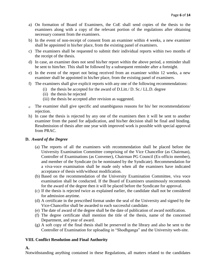- a) On formation of Board of Examiners, the CoE shall send copies of the thesis to the examiners along with a copy of the relevant portion of the regulations after obtaining necessary consent from the examiners.
- b) In the event of non-receipt of consent from an examiner within 4 weeks, a new examiner shall be appointed in his/her place, from the existing panel of examiners.
- c) The examiners shall be requested to submit their individual reports within two months of the receipt of the thesis.
- d) In case, an examiner does not send his/her report within the above period, a reminder shall be sent to him/her. This shall be followed by a subsequent reminder after a fortnight.
- e) In the event of the report not being received from an examiner within 12 weeks, a new examiner shall be appointed in his/her place, from the existing panel of examiners.
- f) The examiners shall give explicit reports with any one of the following recommendations:
	- (i) the thesis be accepted for the award of D.Litt./ D. Sc./ LL.D. degree
	- (ii) the thesis be rejected
	- (iii) the thesis be accepted after revision as suggested.
- g) The examiner shall give specific and unambiguous reasons for his/ her recommendations/ rejection.
- h) In case the thesis is rejected by any one of the examiners then it will be sent to another examiner from the panel for adjudication, and his/her decision shall be final and binding. Resubmission of thesis after one year with improved work is possible with special approval from PRAC.

#### **D.** *Award of the Degree*

- (a) The reports of all the examiners with recommendation shall be placed before the University Examination Committee comprising of the Vice Chancellor (as Chairman), Controller of Examinations (as Convener), Chairman PG Council (Ex-officio member), and member of the Syndicate (to be nominated by the Syndicate). Recommendation for a viva-voce examination shall be made only when all the examiners have indicated acceptance of thesis with/without modification.
- (b) Based on the recommendation of the University Examination Committee, viva voce examination shall be conducted. If the Board of Examiners unanimously recommends for the award of the degree then it will be placed before the Syndicate for approval.
- (c) If the thesis is rejected twice as explained earlier, the candidate shall not be considered for admission anytime.
- (d) A certificate in the prescribed format under the seal of the University and signed by the Vice-Chancellor shall be awarded to each successful candidate.
- (e) The date of award of the degree shall be the date of publication of award notification.
- (f) The degree certificate shall mention the title of the thesis, name of the concerned Department, and year of award.
- (g) A soft copy of the final thesis shall be preserved in the library and also be sent to the Controller of Examination for uploading in "Shodhganga" and the University web-site.

#### **VIII. Conflict Resolution and Final Authority**

**A.**

Notwithstanding anything contained in these Regulations, all matters related to the candidates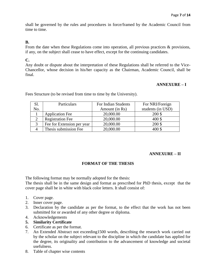shall be governed by the rules and procedures in force/framed by the Academic Council from time to time.

#### **B.**

From the date when these Regulations come into operation, all previous practices & provisions, if any, on the subject shall cease to have effect, except for the continuing candidates.

#### **C.**

Any doubt or dispute about the interpretation of these Regulations shall be referred to the Vice-Chancellor, whose decision in his/her capacity as the Chairman, Academic Council, shall be final.

#### **ANNEXURE – I**

Fees Structure (to be revised from time to time by the University).

| Sl. | Particulars                | For Indian Students | For NRI/Foreign   |
|-----|----------------------------|---------------------|-------------------|
| No. |                            | Amount (in Rs)      | students (in USD) |
|     | <b>Application Fee</b>     | 20,000.00           | 200 \$            |
|     | <b>Registration Fee</b>    | 20,000.00           | 400\$             |
|     | Fee for Extension per year | 20,000.00           | 200 \$            |
|     | Thesis submission Fee      | 20,000.00           | 400\$             |

#### **ANNEXURE – II**

# **FORMAT OF THE THESIS**

The following format may be normally adopted for the thesis:

The thesis shall be in the same design and format as prescribed for PhD thesis, except that the cover page shall be in white with black color letters. It shall consist of:

- 1. Cover page.
- 2. Inner cover page.
- 3. Declaration by the candidate as per the format, to the effect that the work has not been submitted for or awarded of any other degree or diploma.
- 4. Acknowledgements
- **5. Similarity Certificate**
- 6. Certificate as per the format.
- 7. An Extended Abstract not exceeding1500 words, describing the research work carried out by the scholar on the subject relevant to the discipline in which the candidate has applied for the degree, its originality and contribution to the advancement of knowledge and societal usefulness.
- 8. Table of chapter wise contents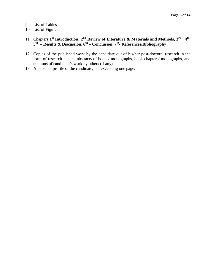- 9. List of Tables
- 10. List of Figures
- 11. Chapters 1<sup>st</sup> Introduction; 2<sup>nd</sup> Review of Literature & Materials and Methods, 3<sup>rd</sup>, 4<sup>th</sup>, **5 th – Results & Discussion, 6th – Conclusion, 7th - References/Bibliography**
- 12. Copies of the published work by the candidate out of his/her post-doctoral research in the form of research papers, abstracts of books/ monographs, book chapters/ monographs, and citations of candidate's work by others (if any).
- 13. A personal profile of the candidate, not exceeding one page.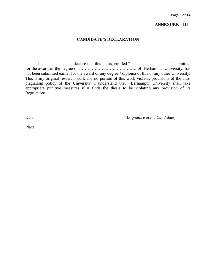#### **ANNEXURE – III**

### **CANDIDATE'S DECLARATION**

I, …………………, declare that this thesis, entitled "……………………… ," submitted for the award of the degree of ……………….…………………. of Berhampur University, has not been submitted earlier for the award of any degree / diploma of this or any other University. This is my original research work and no portion of this work violates provisions of the antiplagiarism policy of the University. I understand that Berhampur University shall take appropriate punitive measures if it finds the thesis to be violating any provision of its Regulations.

Date:  $(Signature of the Candidate)$ 

Place: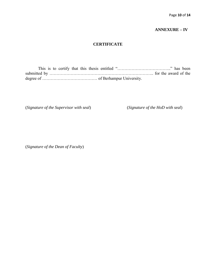# **ANNEXURE – IV**

#### **CERTIFICATE**

This is to certify that this thesis entitled "……………………………….." has been submitted by ……………………………………………………………….. for the award of the degree of ………………………………… of Berhampur University.

(*Signature of the Supervisor with seal*) (*Signature of the HoD with seal*)

(*Signature of the Dean of Faculty*)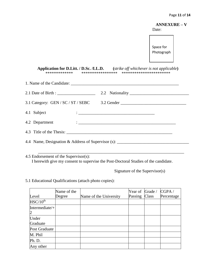**ANNEXURE – V** Date:

Space for Photograph

**Application for D.Litt. / D.Sc. /LL.D. (***strike off whichever is not applicable***)** \*\*\*\*\*\*\*\*\*\*\*\*\* \*\*\*\*\*\*\*\*\*\*\*\*\*\*\*\*\* \*\*\*\*\*\*\*\*\*\*\*\*\*\*\*\*\*\*\*\*\*\*\*

| 2.1 Date of Birth : $\frac{1}{1}$ |                                                                                       |  |  |
|-----------------------------------|---------------------------------------------------------------------------------------|--|--|
|                                   | 3.1 Category: GEN / SC / ST / SEBC 3.2 Gender $\frac{2.2 \text{ G.}}{2.2 \text{ G.}}$ |  |  |
| 4.1 Subject                       |                                                                                       |  |  |
|                                   |                                                                                       |  |  |
|                                   |                                                                                       |  |  |
|                                   | 4.4 Name, Designation & Address of Supervisor (s): ______________________________     |  |  |
|                                   |                                                                                       |  |  |

\_\_\_\_\_\_\_\_\_\_\_\_\_\_\_\_\_\_\_\_\_\_\_\_\_\_\_\_\_\_\_\_\_\_\_\_\_\_\_\_\_\_\_\_\_\_\_\_\_\_\_\_\_\_\_\_\_\_\_\_\_\_\_\_\_\_\_\_\_

4.5 Endorsement of the Supervisor(s): I herewith give my consent to supervise the Post-Doctoral Studies of the candidate.

Signature of the Supervisor(s)

5.1 Educational Qualifications (attach photo copies):

|                                  | Name of the |                        | Year of Grade / |       | CGPA/      |
|----------------------------------|-------------|------------------------|-----------------|-------|------------|
| Level                            | Degree      | Name of the University | Passing         | Class | Percentage |
| $HSC/10^{th}$                    |             |                        |                 |       |            |
| Intermediate/+<br>$\overline{2}$ |             |                        |                 |       |            |
| Under<br>Graduate                |             |                        |                 |       |            |
| Post Graduate                    |             |                        |                 |       |            |
| M. Phil                          |             |                        |                 |       |            |
| Ph. D.                           |             |                        |                 |       |            |
| Any other                        |             |                        |                 |       |            |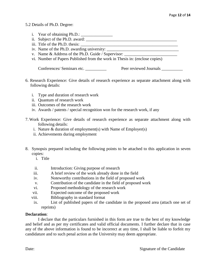### 5.2 Details of Ph.D. Degree:

- i. Year of obtaining  $Ph.D.:$
- ii. Subject of the Ph.D. award:  $\overline{\phantom{a}}$
- iii. Title of the Ph.D. thesis:
- iv. Name of the Ph.D. awarding university:
- v. Name & Address of the Ph.D. Guide / Supervisor:
- vi. Number of Papers Published from the work in Thesis in: (enclose copies)

Conferences/ Seminars etc. \_\_\_\_\_\_\_\_\_ Peer reviewed Journals \_\_\_\_\_\_\_\_\_

- 6. Research Experience: Give details of research experience as separate attachment along with following details:
	- i. Type and duration of research work
	- ii. Quantum of research work
	- iii. Outcomes of the research work
	- iv. Awards / patents / special recognition won for the research work, if any
- 7. Work Experience: Give details of research experience as separate attachment along with following details:
	- i. Nature & duration of employment(s) with Name of Employer(s)
	- ii. Achievements during employment
- 8. Synopsis prepared including the following points to be attached to this application in seven copies:
	- i. Title
	- ii. Introduction: Giving purpose of research
	- iii. A brief review of the work already done in the field
	- iv. Noteworthy contributions in the field of proposed work
	- v. Contribution of the candidate in the field of proposed work
	- vi. Proposed methodology of the research work
	- vii. Expected outcome of the proposed work
	- viii. Bibliography in standard format
	- ix. List of published papers of the candidate in the proposed area (attach one set of reprints)

#### **Declaration**:

I declare that the particulars furnished in this form are true to the best of my knowledge and belief and as per my certificates and valid official documents. I further declare that in case any of the above information is found to be incorrect at any time, I shall be liable to forfeit my candidature and to such penal action as the University may deem appropriate.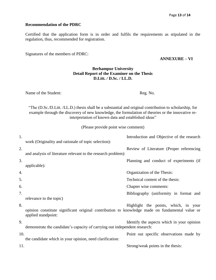#### **Recommendation of the PDRC**

Certified that the application form is in order and fulfils the requirements as stipulated in the regulation, thus, recommended for registration.

Signatures of the members of PDRC:

#### **ANNEXURE – VI**

### **Berhampur University Detail Report of the Examiner on the Thesis D.Litt. / D.Sc. / LL.D.**

Name of the Student: Reg. No.

"The (D.Sc./D.Litt. /LL.D.) thesis shall be a substantial and original contribution to scholarship, for example through the discovery of new knowledge, the formulation of theories or the innovative reinterpretation of known data and established ideas"

(Please provide point wise comment)

| 1.  | work (Originality and rationale of topic selection):                                                                  | Introduction and Objective of the research |
|-----|-----------------------------------------------------------------------------------------------------------------------|--------------------------------------------|
| 2.  | and analysis of literature relevant to the research problem):                                                         | Review of Literature (Proper referencing   |
| 3.  | applicable):                                                                                                          | Planning and conduct of experiments (if    |
| 4.  |                                                                                                                       | Organization of the Thesis:                |
| 5.  |                                                                                                                       | Technical content of the thesis:           |
| 6.  |                                                                                                                       | Chapter wise comments:                     |
| 7.  |                                                                                                                       | Bibliography (uniformity in format and     |
|     | relevance to the topic)                                                                                               |                                            |
| 8.  | opinion constitute significant original contribution to knowledge made on fundamental value or<br>applied standpoint: | Highlight the points, which, in your       |
| 9.  | demonstrate the candidate's capacity of carrying out independent research:                                            | Identify the aspects which in your opinion |
| 10. | the candidate which in your opinion, need clarification:                                                              | Point out specific observations made by    |
| 11. |                                                                                                                       | Strong/weak points in the thesis:          |